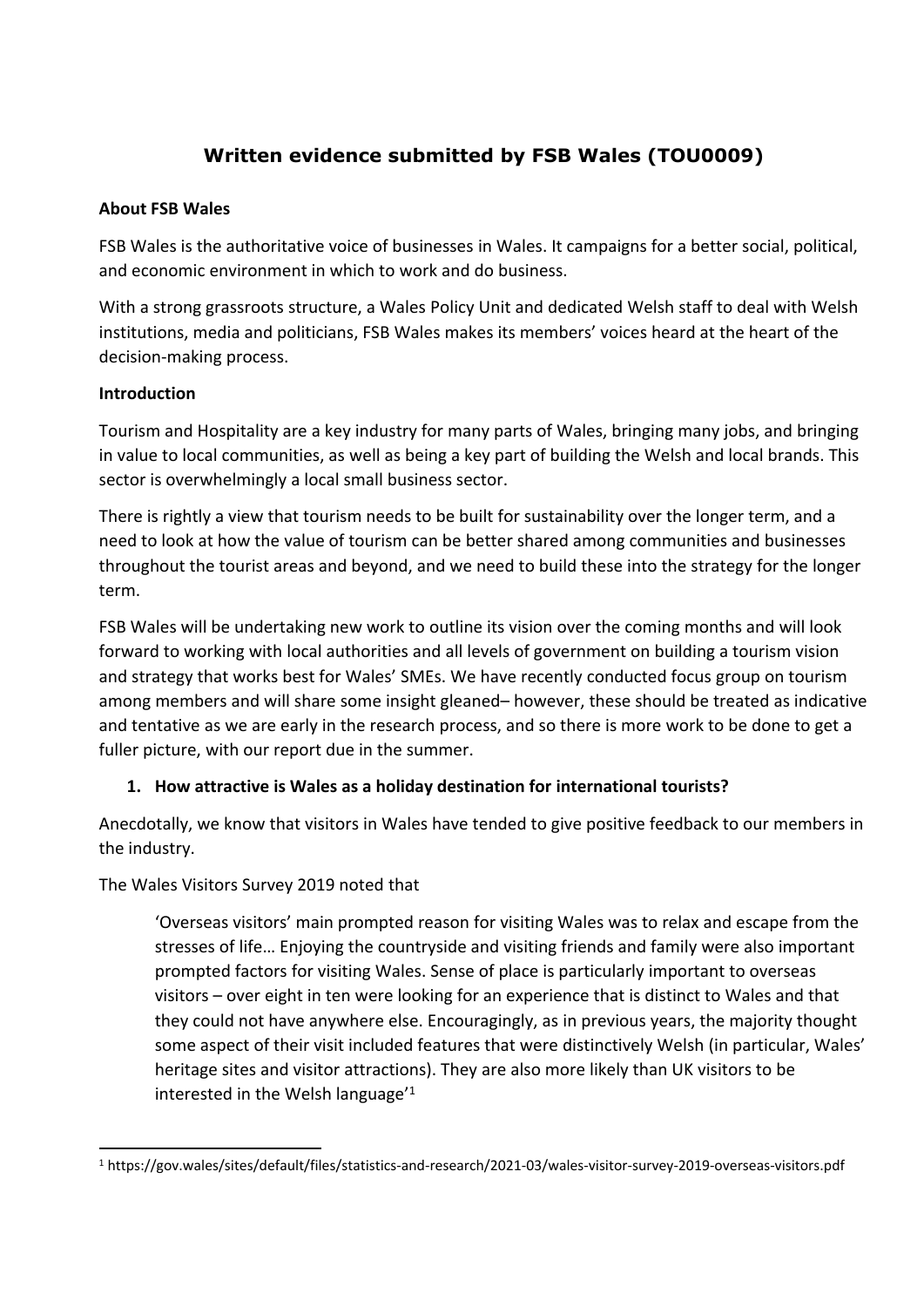# **Written evidence submitted by FSB Wales (TOU0009)**

#### **About FSB Wales**

FSB Wales is the authoritative voice of businesses in Wales. It campaigns for a better social, political, and economic environment in which to work and do business.

With a strong grassroots structure, a Wales Policy Unit and dedicated Welsh staff to deal with Welsh institutions, media and politicians, FSB Wales makes its members' voices heard at the heart of the decision-making process.

#### **Introduction**

Tourism and Hospitality are a key industry for many parts of Wales, bringing many jobs, and bringing in value to local communities, as well as being a key part of building the Welsh and local brands. This sector is overwhelmingly a local small business sector.

There is rightly a view that tourism needs to be built for sustainability over the longer term, and a need to look at how the value of tourism can be better shared among communities and businesses throughout the tourist areas and beyond, and we need to build these into the strategy for the longer term.

FSB Wales will be undertaking new work to outline its vision over the coming months and will look forward to working with local authorities and all levels of government on building a tourism vision and strategy that works best for Wales' SMEs. We have recently conducted focus group on tourism among members and will share some insight gleaned– however, these should be treated as indicative and tentative as we are early in the research process, and so there is more work to be done to get a fuller picture, with our report due in the summer.

#### **1. How attractive is Wales as a holiday destination for international tourists?**

Anecdotally, we know that visitors in Wales have tended to give positive feedback to our members in the industry.

#### The Wales Visitors Survey 2019 noted that

'Overseas visitors' main prompted reason for visiting Wales was to relax and escape from the stresses of life… Enjoying the countryside and visiting friends and family were also important prompted factors for visiting Wales. Sense of place is particularly important to overseas visitors – over eight in ten were looking for an experience that is distinct to Wales and that they could not have anywhere else. Encouragingly, as in previous years, the majority thought some aspect of their visit included features that were distinctively Welsh (in particular, Wales' heritage sites and visitor attractions). They are also more likely than UK visitors to be interested in the Welsh language'<sup>1</sup>

<sup>1</sup> https://gov.wales/sites/default/files/statistics-and-research/2021-03/wales-visitor-survey-2019-overseas-visitors.pdf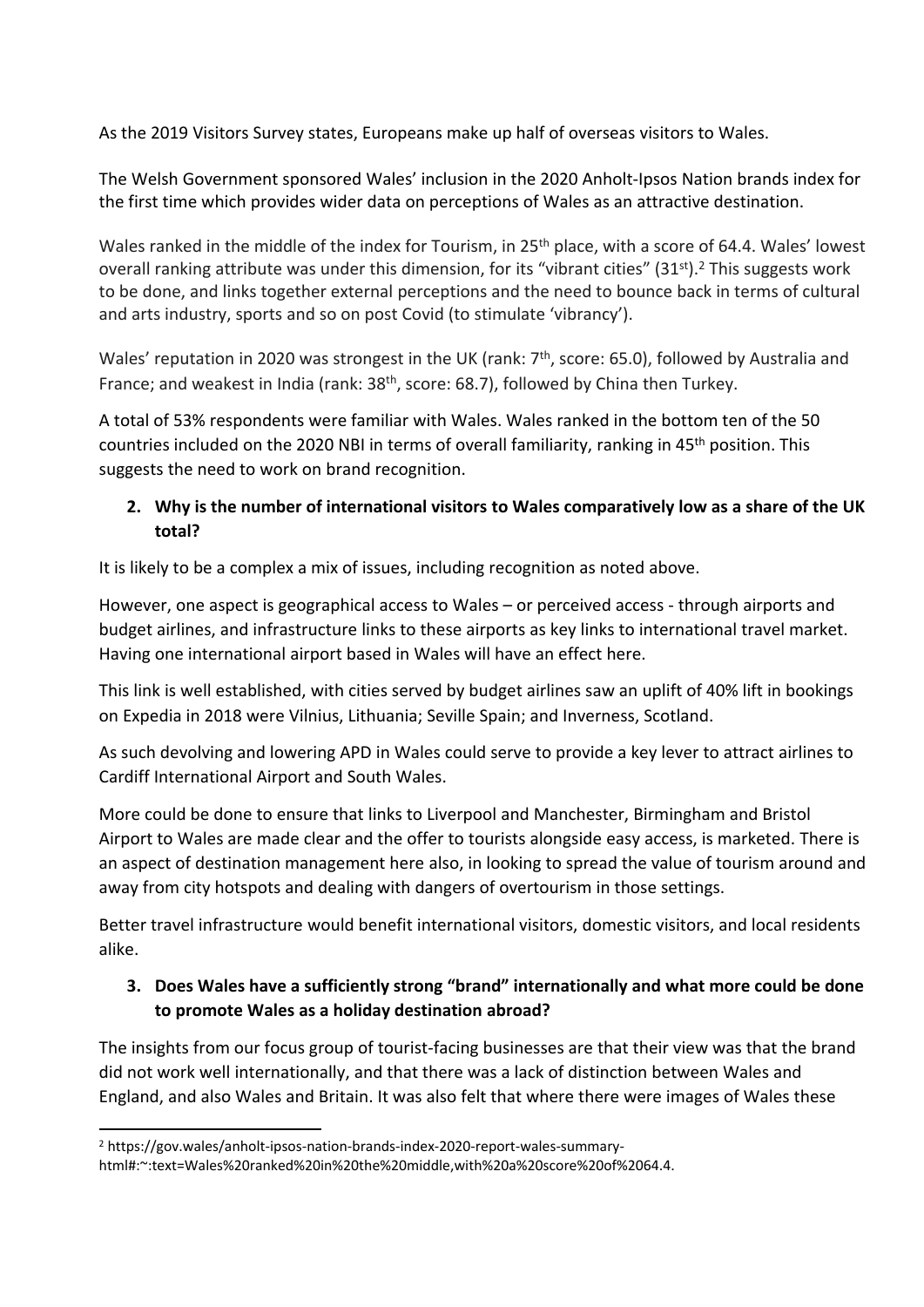As the 2019 Visitors Survey states, Europeans make up half of overseas visitors to Wales.

The Welsh Government sponsored Wales' inclusion in the 2020 Anholt-Ipsos Nation brands index for the first time which provides wider data on perceptions of Wales as an attractive destination.

Wales ranked in the middle of the index for Tourism, in 25<sup>th</sup> place, with a score of 64.4. Wales' lowest overall ranking attribute was under this dimension, for its "vibrant cities" (31<sup>st</sup>).<sup>2</sup> This suggests work to be done, and links together external perceptions and the need to bounce back in terms of cultural and arts industry, sports and so on post Covid (to stimulate 'vibrancy').

Wales' reputation in 2020 was strongest in the UK (rank: 7<sup>th</sup>, score: 65.0), followed by Australia and France; and weakest in India (rank: 38<sup>th</sup>, score: 68.7), followed by China then Turkey.

A total of 53% respondents were familiar with Wales. Wales ranked in the bottom ten of the 50 countries included on the 2020 NBI in terms of overall familiarity, ranking in 45th position. This suggests the need to work on brand recognition.

#### **2. Why is the number of international visitors to Wales comparatively low as a share of the UK total?**

It is likely to be a complex a mix of issues, including recognition as noted above.

However, one aspect is geographical access to Wales – or perceived access - through airports and budget airlines, and infrastructure links to these airports as key links to international travel market. Having one international airport based in Wales will have an effect here.

This link is well established, with cities served by budget airlines saw an uplift of 40% lift in bookings on Expedia in 2018 were Vilnius, Lithuania; Seville Spain; and Inverness, Scotland.

As such devolving and lowering APD in Wales could serve to provide a key lever to attract airlines to Cardiff International Airport and South Wales.

More could be done to ensure that links to Liverpool and Manchester, Birmingham and Bristol Airport to Wales are made clear and the offer to tourists alongside easy access, is marketed. There is an aspect of destination management here also, in looking to spread the value of tourism around and away from city hotspots and dealing with dangers of overtourism in those settings.

Better travel infrastructure would benefit international visitors, domestic visitors, and local residents alike.

# **3. Does Wales have a sufficiently strong "brand" internationally and what more could be done to promote Wales as a holiday destination abroad?**

The insights from our focus group of tourist-facing businesses are that their view was that the brand did not work well internationally, and that there was a lack of distinction between Wales and England, and also Wales and Britain. It was also felt that where there were images of Wales these

<sup>2</sup> https://gov.wales/anholt-ipsos-nation-brands-index-2020-report-wales-summary-

html#:~:text=Wales%20ranked%20in%20the%20middle,with%20a%20score%20of%2064.4.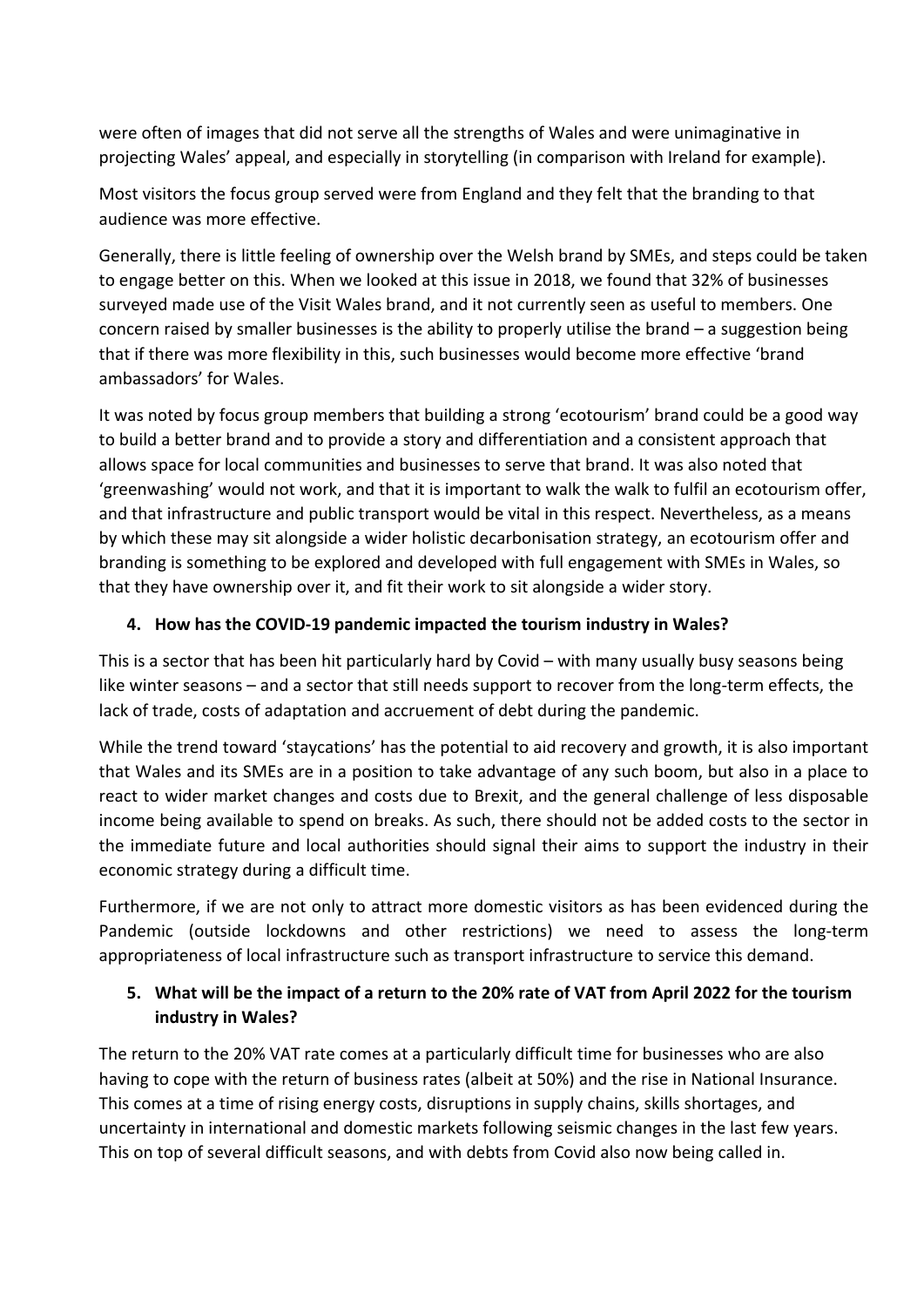were often of images that did not serve all the strengths of Wales and were unimaginative in projecting Wales' appeal, and especially in storytelling (in comparison with Ireland for example).

Most visitors the focus group served were from England and they felt that the branding to that audience was more effective.

Generally, there is little feeling of ownership over the Welsh brand by SMEs, and steps could be taken to engage better on this. When we looked at this issue in 2018, we found that 32% of businesses surveyed made use of the Visit Wales brand, and it not currently seen as useful to members. One concern raised by smaller businesses is the ability to properly utilise the brand – a suggestion being that if there was more flexibility in this, such businesses would become more effective 'brand ambassadors' for Wales.

It was noted by focus group members that building a strong 'ecotourism' brand could be a good way to build a better brand and to provide a story and differentiation and a consistent approach that allows space for local communities and businesses to serve that brand. It was also noted that 'greenwashing' would not work, and that it is important to walk the walk to fulfil an ecotourism offer, and that infrastructure and public transport would be vital in this respect. Nevertheless, as a means by which these may sit alongside a wider holistic decarbonisation strategy, an ecotourism offer and branding is something to be explored and developed with full engagement with SMEs in Wales, so that they have ownership over it, and fit their work to sit alongside a wider story.

# **4. How has the COVID-19 pandemic impacted the tourism industry in Wales?**

This is a sector that has been hit particularly hard by Covid – with many usually busy seasons being like winter seasons – and a sector that still needs support to recover from the long-term effects, the lack of trade, costs of adaptation and accruement of debt during the pandemic.

While the trend toward 'staycations' has the potential to aid recovery and growth, it is also important that Wales and its SMEs are in a position to take advantage of any such boom, but also in a place to react to wider market changes and costs due to Brexit, and the general challenge of less disposable income being available to spend on breaks. As such, there should not be added costs to the sector in the immediate future and local authorities should signal their aims to support the industry in their economic strategy during a difficult time.

Furthermore, if we are not only to attract more domestic visitors as has been evidenced during the Pandemic (outside lockdowns and other restrictions) we need to assess the long-term appropriateness of local infrastructure such as transport infrastructure to service this demand.

# 5. What will be the impact of a return to the 20% rate of VAT from April 2022 for the tourism **industry in Wales?**

The return to the 20% VAT rate comes at a particularly difficult time for businesses who are also having to cope with the return of business rates (albeit at 50%) and the rise in National Insurance. This comes at a time of rising energy costs, disruptions in supply chains, skills shortages, and uncertainty in international and domestic markets following seismic changes in the last few years. This on top of several difficult seasons, and with debts from Covid also now being called in.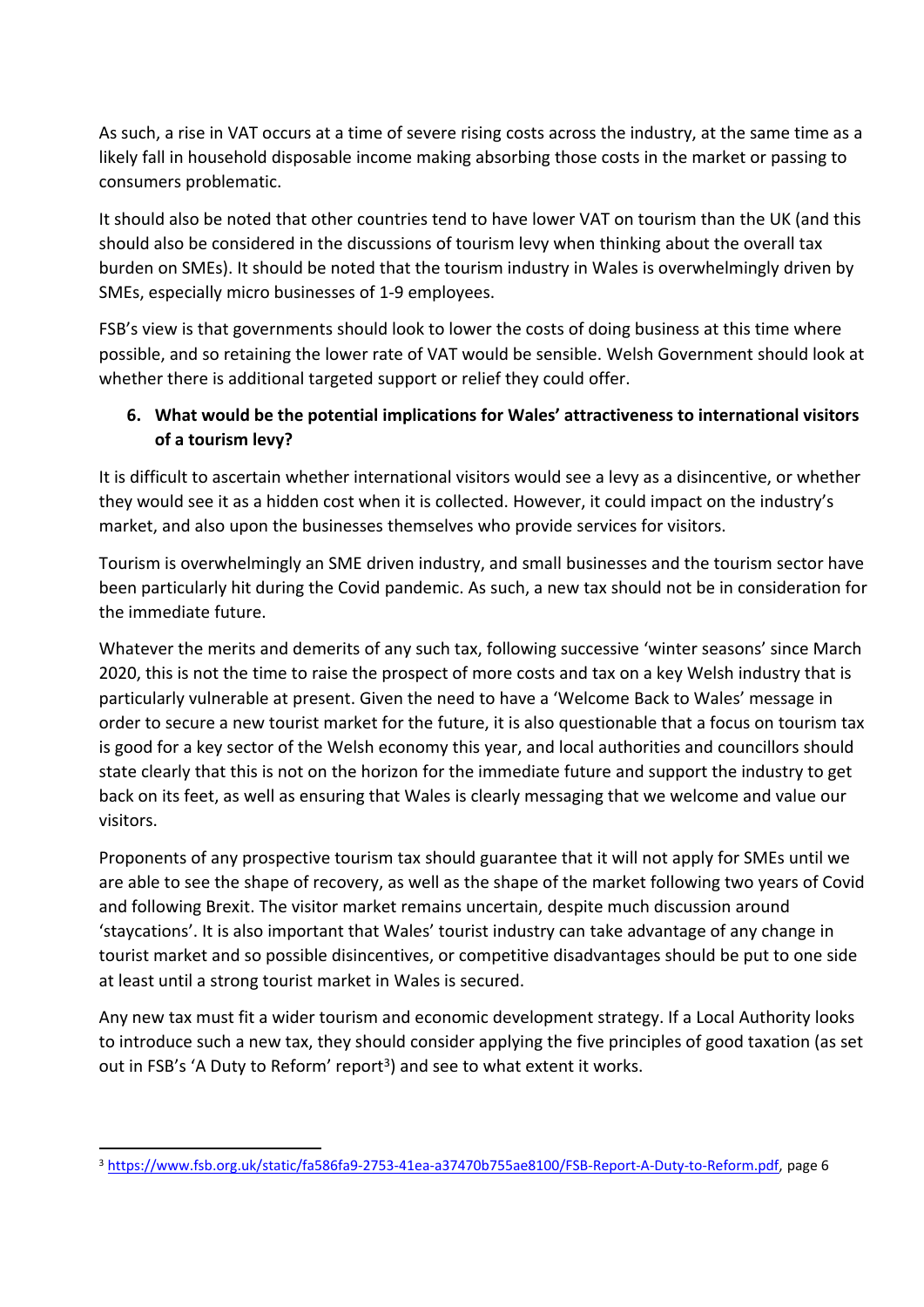As such, a rise in VAT occurs at a time of severe rising costs across the industry, at the same time as a likely fall in household disposable income making absorbing those costs in the market or passing to consumers problematic.

It should also be noted that other countries tend to have lower VAT on tourism than the UK (and this should also be considered in the discussions of tourism levy when thinking about the overall tax burden on SMEs). It should be noted that the tourism industry in Wales is overwhelmingly driven by SMEs, especially micro businesses of 1-9 employees.

FSB's view is that governments should look to lower the costs of doing business at this time where possible, and so retaining the lower rate of VAT would be sensible. Welsh Government should look at whether there is additional targeted support or relief they could offer.

# **6. What would be the potential implications for Wales' attractiveness to international visitors of a tourism levy?**

It is difficult to ascertain whether international visitors would see a levy as a disincentive, or whether they would see it as a hidden cost when it is collected. However, it could impact on the industry's market, and also upon the businesses themselves who provide services for visitors.

Tourism is overwhelmingly an SME driven industry, and small businesses and the tourism sector have been particularly hit during the Covid pandemic. As such, a new tax should not be in consideration for the immediate future.

Whatever the merits and demerits of any such tax, following successive 'winter seasons' since March 2020, this is not the time to raise the prospect of more costs and tax on a key Welsh industry that is particularly vulnerable at present. Given the need to have a 'Welcome Back to Wales' message in order to secure a new tourist market for the future, it is also questionable that a focus on tourism tax is good for a key sector of the Welsh economy this year, and local authorities and councillors should state clearly that this is not on the horizon for the immediate future and support the industry to get back on its feet, as well as ensuring that Wales is clearly messaging that we welcome and value our visitors.

Proponents of any prospective tourism tax should guarantee that it will not apply for SMEs until we are able to see the shape of recovery, as well as the shape of the market following two years of Covid and following Brexit. The visitor market remains uncertain, despite much discussion around 'staycations'. It is also important that Wales' tourist industry can take advantage of any change in tourist market and so possible disincentives, or competitive disadvantages should be put to one side at least until a strong tourist market in Wales is secured.

Any new tax must fit a wider tourism and economic development strategy. If a Local Authority looks to introduce such a new tax, they should consider applying the five principles of good taxation (as set out in FSB's 'A Duty to Reform' report<sup>3</sup>) and see to what extent it works.

<sup>3</sup> [https://www.fsb.org.uk/static/fa586fa9-2753-41ea-a37470b755ae8100/FSB-Report-A-Duty-to-Reform.pdf,](https://www.fsb.org.uk/static/fa586fa9-2753-41ea-a37470b755ae8100/FSB-Report-A-Duty-to-Reform.pdf) page 6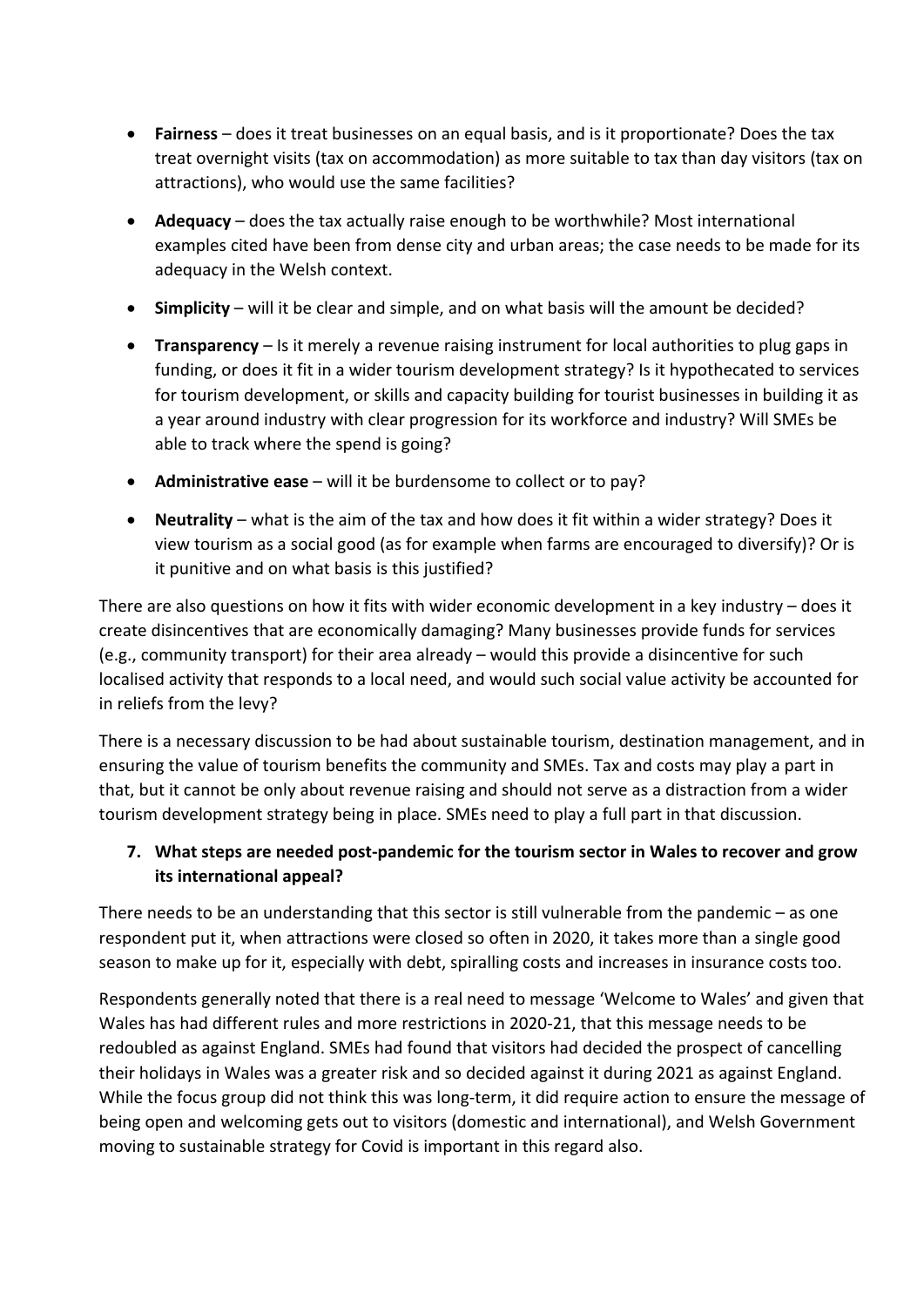- **Fairness** does it treat businesses on an equal basis, and is it proportionate? Does the tax treat overnight visits (tax on accommodation) as more suitable to tax than day visitors (tax on attractions), who would use the same facilities?
- **Adequacy** does the tax actually raise enough to be worthwhile? Most international examples cited have been from dense city and urban areas; the case needs to be made for its adequacy in the Welsh context.
- **Simplicity** will it be clear and simple, and on what basis will the amount be decided?
- **Transparency** Is it merely a revenue raising instrument for local authorities to plug gaps in funding, or does it fit in a wider tourism development strategy? Is it hypothecated to services for tourism development, or skills and capacity building for tourist businesses in building it as a year around industry with clear progression for its workforce and industry? Will SMEs be able to track where the spend is going?
- **Administrative ease** will it be burdensome to collect or to pay?
- **Neutrality** what is the aim of the tax and how does it fit within a wider strategy? Does it view tourism as a social good (as for example when farms are encouraged to diversify)? Or is it punitive and on what basis is this justified?

There are also questions on how it fits with wider economic development in a key industry – does it create disincentives that are economically damaging? Many businesses provide funds for services (e.g., community transport) for their area already – would this provide a disincentive for such localised activity that responds to a local need, and would such social value activity be accounted for in reliefs from the levy?

There is a necessary discussion to be had about sustainable tourism, destination management, and in ensuring the value of tourism benefits the community and SMEs. Tax and costs may play a part in that, but it cannot be only about revenue raising and should not serve as a distraction from a wider tourism development strategy being in place. SMEs need to play a full part in that discussion.

#### **7. What steps are needed post-pandemic for the tourism sector in Wales to recover and grow its international appeal?**

There needs to be an understanding that this sector is still vulnerable from the pandemic – as one respondent put it, when attractions were closed so often in 2020, it takes more than a single good season to make up for it, especially with debt, spiralling costs and increases in insurance costs too.

Respondents generally noted that there is a real need to message 'Welcome to Wales' and given that Wales has had different rules and more restrictions in 2020-21, that this message needs to be redoubled as against England. SMEs had found that visitors had decided the prospect of cancelling their holidays in Wales was a greater risk and so decided against it during 2021 as against England. While the focus group did not think this was long-term, it did require action to ensure the message of being open and welcoming gets out to visitors (domestic and international), and Welsh Government moving to sustainable strategy for Covid is important in this regard also.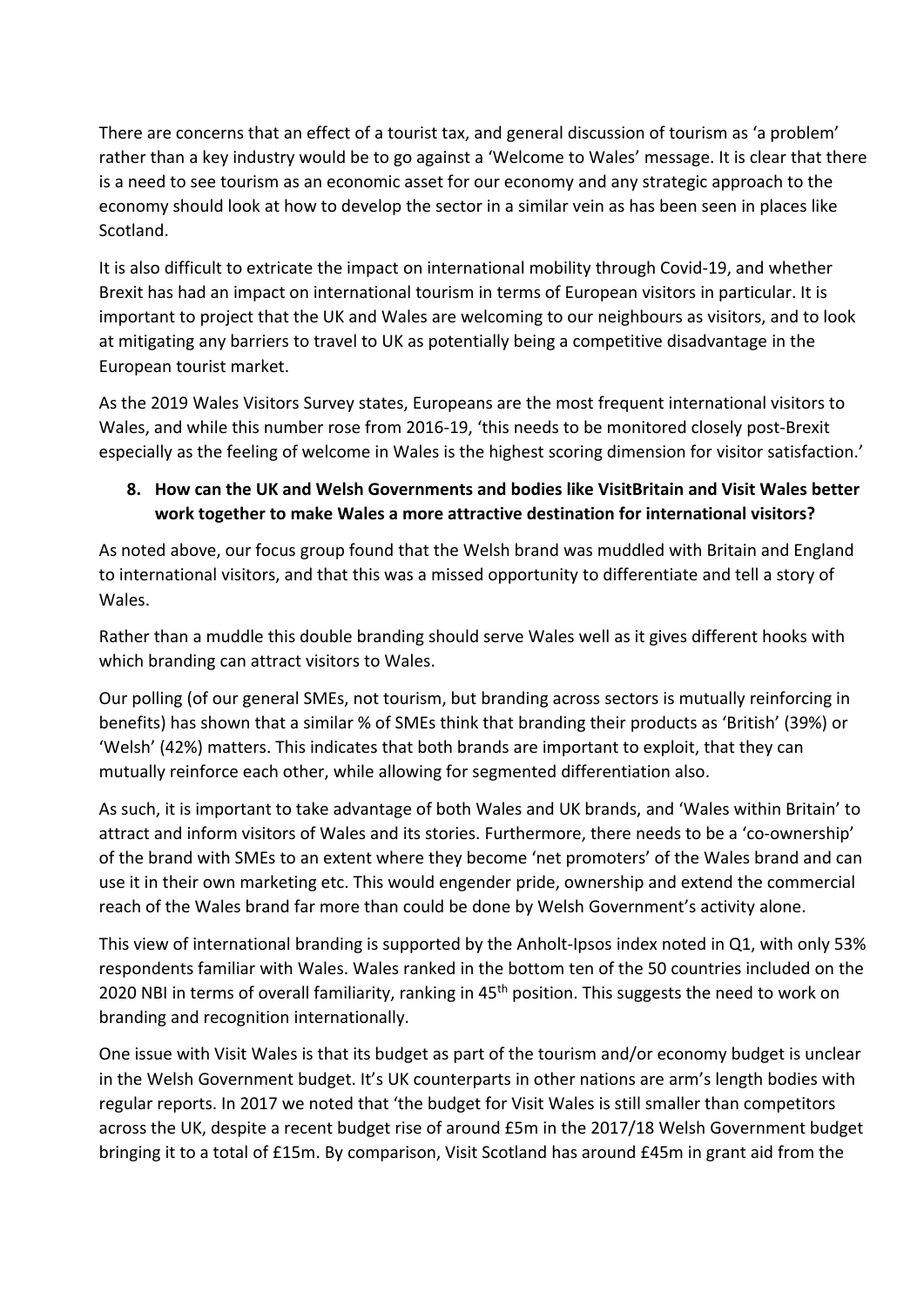There are concerns that an effect of a tourist tax, and general discussion of tourism as 'a problem' rather than a key industry would be to go against a 'Welcome to Wales' message. It is clear that there is a need to see tourism as an economic asset for our economy and any strategic approach to the economy should look at how to develop the sector in a similar vein as has been seen in places like Scotland.

It is also difficult to extricate the impact on international mobility through Covid-19, and whether Brexit has had an impact on international tourism in terms of European visitors in particular. It is important to project that the UK and Wales are welcoming to our neighbours as visitors, and to look at mitigating any barriers to travel to UK as potentially being a competitive disadvantage in the European tourist market.

As the 2019 Wales Visitors Survey states, Europeans are the most frequent international visitors to Wales, and while this number rose from 2016-19, 'this needs to be monitored closely post-Brexit especially as the feeling of welcome in Wales is the highest scoring dimension for visitor satisfaction.'

#### **8. How can the UK and Welsh Governments and bodies like VisitBritain and Visit Wales better work together to make Wales a more attractive destination for international visitors?**

As noted above, our focus group found that the Welsh brand was muddled with Britain and England to international visitors, and that this was a missed opportunity to differentiate and tell a story of Wales.

Rather than a muddle this double branding should serve Wales well as it gives different hooks with which branding can attract visitors to Wales.

Our polling (of our general SMEs, not tourism, but branding across sectors is mutually reinforcing in benefits) has shown that a similar % of SMEs think that branding their products as 'British' (39%) or 'Welsh' (42%) matters. This indicates that both brands are important to exploit, that they can mutually reinforce each other, while allowing for segmented differentiation also.

As such, it is important to take advantage of both Wales and UK brands, and 'Wales within Britain' to attract and inform visitors of Wales and its stories. Furthermore, there needs to be a 'co-ownership' of the brand with SMEs to an extent where they become 'net promoters' of the Wales brand and can use it in their own marketing etc. This would engender pride, ownership and extend the commercial reach of the Wales brand far more than could be done by Welsh Government's activity alone.

This view of international branding is supported by the Anholt-Ipsos index noted in Q1, with only 53% respondents familiar with Wales. Wales ranked in the bottom ten of the 50 countries included on the 2020 NBI in terms of overall familiarity, ranking in 45<sup>th</sup> position. This suggests the need to work on branding and recognition internationally.

One issue with Visit Wales is that its budget as part of the tourism and/or economy budget is unclear in the Welsh Government budget. It's UK counterparts in other nations are arm's length bodies with regular reports. In 2017 we noted that 'the budget for Visit Wales is still smaller than competitors across the UK, despite a recent budget rise of around £5m in the 2017/18 Welsh Government budget bringing it to a total of £15m. By comparison, Visit Scotland has around £45m in grant aid from the